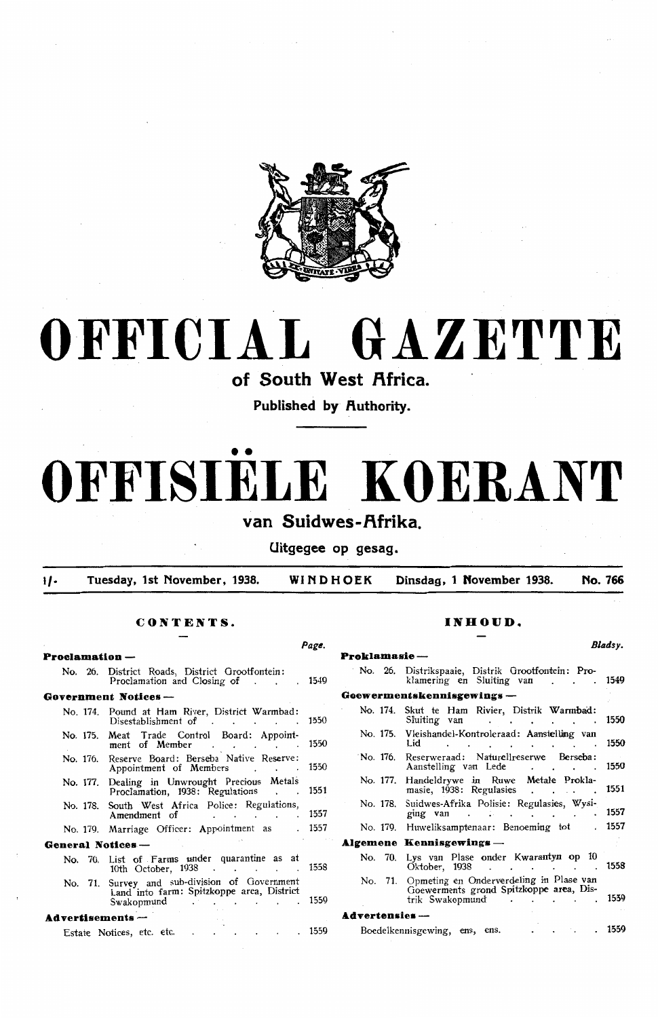

# **OFFICIAL GAZETTE**

of South West Africa.

**Published by Authority.** 

# •• **OFFISIELE KOERANT**

van Suidwes-Afrika.

**Uitgegee op gesag.** 

l/• **Tuesday, 1st November, 1938. WINDHOEK Dinsdag, 1 November 1938. No. 766** 

## **CONTENTS.** INHOUD.

|                       |                                                                                                                                                                                                                                                 | Page.  |                     |                                                                                                                                                                                                                                                                                | Bladsy. |
|-----------------------|-------------------------------------------------------------------------------------------------------------------------------------------------------------------------------------------------------------------------------------------------|--------|---------------------|--------------------------------------------------------------------------------------------------------------------------------------------------------------------------------------------------------------------------------------------------------------------------------|---------|
| <b>Proclamation</b> – |                                                                                                                                                                                                                                                 |        | Proklamasie —       |                                                                                                                                                                                                                                                                                |         |
|                       | No. 26. District Roads, District Grootfontein:<br>Proclamation and Closing of 1549                                                                                                                                                              |        |                     | No. 26. Distrikspaaie, Distrik Grootfontein: Pro-<br>klamering en Sluiting van 1549                                                                                                                                                                                            |         |
|                       | Government Notices-                                                                                                                                                                                                                             |        |                     | Goewermentskennisgewings -                                                                                                                                                                                                                                                     |         |
|                       | No. 174. Pound at Ham River, District Warmbad:<br>Disestablishment of 1550                                                                                                                                                                      |        |                     | No. 174. Skut te Ham Rivier, Distrik Warmbad:<br>Sluiting van de contracted and the contracted of the set of the set of the set of the set of the set of the set of the set of the set of the set of the set of the set of the set of the set of the set of the set of the set |         |
|                       | No. 175. Meat Trade Control Board: Appoint-<br>ment of Member 1550                                                                                                                                                                              |        |                     | No. 175. Vleishandel-Kontroleraad: Aanstelling van<br>Lid 1550                                                                                                                                                                                                                 |         |
| No. 176.              | Reserve Board: Berseba Native Reserve:<br>Appointment of Members                                                                                                                                                                                | 1550   |                     | No. 176. Reserweraad: Naturellreserwe Berseba:<br>Aanstelling van Lede 1550                                                                                                                                                                                                    |         |
|                       | No. 177. Dealing in Unwrought Precious Metals<br>Proclamation, 1938: Regulations 1551                                                                                                                                                           |        |                     | No. 177. Handeldrywe in Ruwe Metale Prokla-<br>masie, 1938: Regulasies 1551                                                                                                                                                                                                    |         |
|                       | No. 178. South West Africa Police: Regulations,<br>Amendment of The Contract of The Contract of The Contract 2015-2016                                                                                                                          |        |                     | No. 178. Suidwes-Afrika Polisie: Regulasies, Wysi-<br>ging van 1557                                                                                                                                                                                                            |         |
|                       | No. 179. Marriage Officer: Appointment as                                                                                                                                                                                                       | . 1557 |                     | No. 179. Huweliksamptenaar: Benoeming tot . 1557                                                                                                                                                                                                                               |         |
| General Notices -     | $\mathcal{O}(\mathcal{O}_\mathcal{A})$ . The contribution of the contribution of the contribution of the contribution of the contribution of the contribution of the contribution of the contribution of the contribution of the contribution o |        |                     | Algemene Kennisgewings -                                                                                                                                                                                                                                                       |         |
|                       | No. 70. List of Farms under quarantine as at<br>10th October, 1938 1558                                                                                                                                                                         |        |                     | No. 70. Lys van Plase onder Kwarantyn op 10<br>Oktober, 1938 1558                                                                                                                                                                                                              |         |
|                       | No. 71. Survey and sub-division of Government<br>Land into farm: Spitzkoppe area, District<br>Swakopmund 1559                                                                                                                                   |        |                     | No. 71. Opmeting en Onderverdeling in Plase van<br>Goewerments grond Spitzkoppe area, Dis-<br>trik Swakopmund 1559                                                                                                                                                             |         |
| Advertisements --     |                                                                                                                                                                                                                                                 |        | $Ady$ ertensies $-$ |                                                                                                                                                                                                                                                                                |         |
|                       | $\cdot$ $\cdot$ $\cdot$ 1559<br>Estate Notices, etc. etc.                                                                                                                                                                                       |        |                     | Boedelkennisgewing, ens, ens.<br>$\mathbf{L} = \mathbf{L} \mathbf{L} = \mathbf{L} \mathbf{L}$                                                                                                                                                                                  | . 1559  |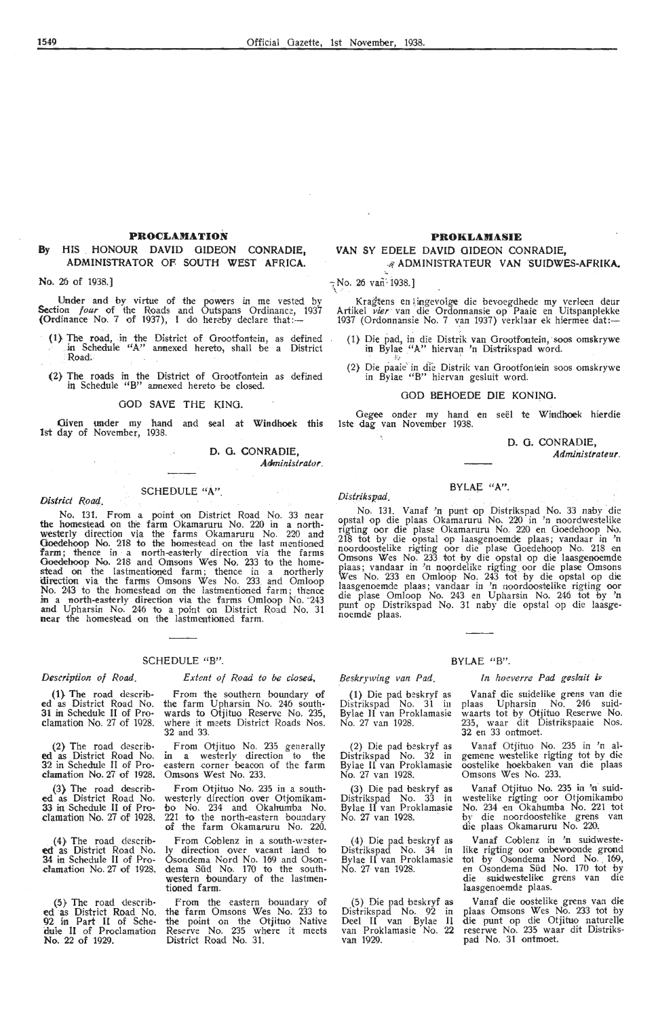#### **PROCLAMATION**

#### **By** HIS HONOUR DAVID GIDEON CONRADIE, ADMINISTRATOR OF SOUTH WEST AFRICA.

**No.** 25 of 1938.]

Under and by virtue of the powers in me vested by Section *four* of the Roads and Outspans Ordinance, 1937 (Ordinance No. 7 of 1937), I do hereby declare that:-

- (1) The road, in the District of Grootfontein, as defined , in Schedule "A" annexed hereto, shall be a District ·<br>|Road;
- (2) The roads in the District of Grootfontein as defined in Schedule "B" annexed hereto be closed.

#### GOD SAVE THE KING.

Given under my hand and seal at Windhoek this 1st day of November, 1938.

> D. G. CONRADIE, Administrator.

#### District Road, SCHEDULE "A".

No. 131. From a point on District Road No. 33 near the homestead on the farm Okamaruru No. 220 in a northwesterly direction via the farms Okamaruru No. 220 and Goedehoop No. 218 to the homestead on the fast mentioned farm; thence in a north-easterly direction via the farms Goedehoop No. 218 and Omsons Wes No. 233 to the homestead on the lastmentioned farm; thence in a northerly direction via the farms Omsons Wes No. 233 and Omloop No. 243 to the homestead on the lastmentioned farm; thence in a north-easterly direction via the farms Omloop No. 243 and Upharsin No. 246 to a point on District Road No. 31 near the homestead on the lastmentioned farm.

#### SCHEDULE "B".

#### *Description of Road.*

**(1}** The road describ**ed** as District Road No. 31 in Schedule II of Procfamation No. 27 of 1928.

(2} The road described as District Road No.<br>32 in Schedule II of Prodamation No. 27 of 1928.

(3} The road describ**ed** as District Road No. 33 in Schedule II of Proclamation No. 27 of 1928.

(4) The road describ**ed** as District Road No. **34** in Schedule II of Proclamation No. 27 of 1928.

(5} The road describ• ed as District Road No.<br>92 in Part II of Schedule II of Proclamation **No.** 22 of 1929.

#### *Extent of Road to be closed,*

From the southern boundary of the farm Upharsin No. 246 south-<br>wards to Otjituo Reserve No. 235, where it meets District Roads Nos. 32 and 33.

From Otjituo No. 235 generally<br>in a westerly direction to the in a westerly direction to the<br>eastern corner beacon of the farm Omsons West No. 233.

From Otjituo No. 235 in a southwesterly direction over Otjomikam-bo No. 234 and Okahum'ba No. 221 to the north-eastern boundary of the farm Okamaruru No. 220.

From Coblenz in a south-westerly direction over vacant land to Osondema Nord No. 169 and Osondema Siid No. 170 to the southwestern boundary of the lastmentioned farm.

From the eastern boundary of the farm Omsons Wes No. 233 to the point on the Otjituo Native Reserve No. 235 where it meets District Road No. 31.

#### **PROKLAMASIE**

#### VAN SY EDELE DAVID GIDEON CONRADIE,

### -/i **ADMINISTRATEUR VAN SUIDWES-AfRIKA.**

 $\frac{1}{3}$ No. 26 van<sup>2</sup> 1938.]

Kragtens en lingevolge die bevoegdhede my verleen deur<br>Artikel *vier* van die Ordonnansie op Paaie en Uitspanplekke<br>1937 (Ordonnansie No. 7 van 1937) verklaar ek hiermee dat:-

- (1) Die pad, in die Distrik van Grootfontein, soos omskrywe in Bylae "A" hiervan 'n Distrikspad word.
- (2} Die paaie· in dre Distrik van Orootfontein soos omskrywe in Bylae "B" hiervan gesluit word.

#### GOD 8EHOEDE DIE KONING.

Oegee onder my hand en seel te Windhoek hierdie lste dag. van November 1938.

BYLAE "A".

D. G. CONRADIE,

*Administrateur.* 

## *Distrikspad;'* · . . · ..

 $\sigma^2$ 

*.Beskrywing van Pad.* 

(2) Die pad beskryf as Distrikspad No. 32 in Bylae II van Proklamasie No. 27 van 1928.

(3) Die pad beskryf as Distrikspad No. 33 in 8ylae II van Proklamasie

( 4) Die pad beskryf as Distrikspad No. 34 in Bylae II van Proklamasie No. 27 van 1928.

(5) Die pad beskryf as Distrikspad No. 92 **in**  Deel II van Bylae II van Proklamasie No. **22** 

No. 27 van 1928.

van 1929.

No. 131. Vanaf 'n punt op Distrikspad No. 33 naby die opstal op die plaas Okamaruru No. 220 in 'n noordwestelike rigting oor die plase Okamaruru No. 220 en Goedehoop No.<br>218 tot by die opstal op laasgenoemde plaas; vandaar in 'n noordoostelike rigting oor die plase Goedehoop No. 218 en Omsons Wes No. 233 tot by die opstal op die laasgenoemde plaas; vandaar in 'n noordelike rigting oor die plase Omsons<br>Wes No. 233 en Omloop No. 243 tot by die opstal op die laasgenoemde plaas; vandaar in 'n noordoostelike rigting oor<br>die plase Omloop No. 243 en Upharsin No. 246 tot by 'n punt op Distrikspad No. 31 naby die opstal op die laasgenoemde plaas.

#### BYLAE "B".

#### *In hoeverre Pad gesbuit is*

(1) Die pad beskryf as Distrikspad No. 31 in 8ylae II van Proklamasie No. 27 van 1928. Vanaf die suidelike grens van die plaas Upharsin No. 246 suidwaarts tot by Otjituo Reserwe No. 235, waar dit Distrikspaaie Nos. 32 en 33 ontmoet.

> Vanaf Otjituo No. 235 in 'n algemene westelike rigting tot by die oostelike hoekbaken van die plaas Omsons Wes No. 233.

> Vanaf Otjituo No. 235 in 'n suidwestelike rigting oor Otjomikambo<br>No. 234 en Okahumba No. 221 tot by die noordoostelike grens van die plaas Okamaruru No. 220.

> Vanaf Coblenz in 'n suidwestelike rigting oor onbewoonde grond tot by Osondema Nord No. 169, en Osondema Süd No. 170 tot by die suidwestelike grens van die laasgenoemde plaas.

> Vanaf die oostelike grens van die plaas Omsons Wes No. 233 tot by die punt op die Otjituo naturelle<br>reserwe No. 235 waar dit Distrikspad No. 31 ontmoet.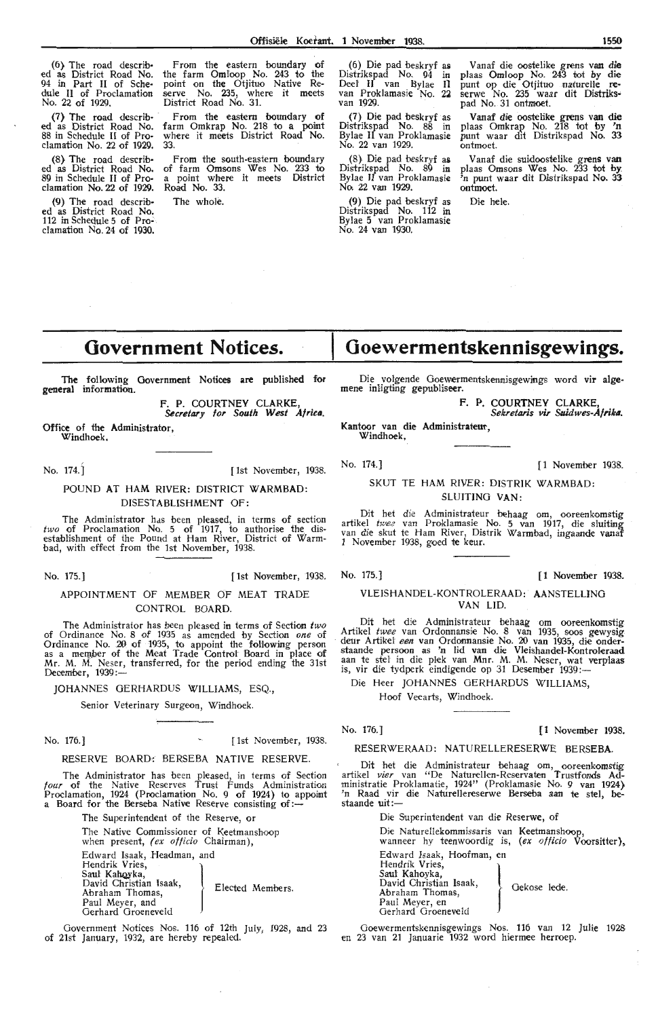(6) The road describ• ed as District Road No. 94 in Part II of Sche• dule II of Proclamation

No. 22 of 1929.<br>
(7) The road described as District Road No.<br>
88 in Schedule II of Proclamation No. 22 of 1929. 33.

damation No. 22 of 1929.<br>
Red as District Road No. 32.<br>
Red No. 22 of 1929. Road No. 33.

(9) The road describ• The whole. ed as District Road No. 112 in Schedule 5 of Pro~ clamation No. 24 of 1930.

From the eastern boundary of the farm Omloop No. 243 to the point on the Otjituo Native Re- serve No. 235, where it meets District Road No. 31.

(7} The road describ- · From the eastern boundary of ed as District Road No. farm Omkrap No. 218 to a point 88 in Schedule II of Pro- where it meets District Road No.

(8) The road describ• From the south-eastern boundary ed as District Road No. of farm Omsons Wes No. 233 to 89 in Schedule II of Pro- a point where it meets District

(6) Die pad beskryf as Distrjkspad No. 94 in Deel' II van Bylae Il van Proklamasie No. 22 van 1929.

(7) Die pad beskryf as Distrikspad No. 88 in Bylae II van Proklamasie No. 22 van 1929.

(8) Die pad beskryf as Distrikspad No. 89 in Bylae II van Proklamasie No. 22 van 1929.

(9) Die pad beskryf as Distrikspad No. 112 in Bylae 5 van Proklamasie No. 24 van 1930.

Vanaf die oostelike grens van **die**  plaas Omioop No. 243 tot by die punt op die Otjituo naturelle reserwe No. 235 waar dit Distrikspad No. 31 ontmoet.

Vanaf die oostelike grens van die<br>plaas Omkrap No. 218 tot by 'n<br>punt waar dit Distrikspad No. 33 ontmoet.

Vanaf die suidoostelike grens van plaas Omsons Wes No. 233 tot by 'n punt waar dit Distrikspad No. 33 ontmoet.

Die hele.

## **Government Notices.**

The following Government Notices **are** published for general information.

F. P. COURTNEY CLARKE, *&c,eta,y* for *South West Al rico.* 

Office of the Administrator, Windhoek,

No. 174.] [ 1st November, 1938.

POUND AT HAM RIVER: DISTRICT WARMBAD: DISESTABLISHMENT OF:

The Administrator hds been pleased, in terms of section *two* of Proclamation No. 5 of 1917, to authorise the disestablishment of the Pound at Ham River, District of Warmbad, with effect from the 1st November, 1938.

No. 175.] [1st November, 1938. No. 175.] [ **1** November 1938.

#### APPOINTMENT OF MEMBER OF MEAT TRADE CONTROL BOARD.

The Administrator has been pleas•ed in terms of Sectioo *two* of Ordinance No. 8 of 1935 as amended by Section *one* of Ordinance No. 20 of 1935, to appoint the following person as a member of the Meat Trade Control Board in place of Mr. M. M. Neser, transferred, for the period ending the 31st December, 1939:

JOHANNES GERHARDUS WILLIAMS, ESQ.,

Senior Veterinary Surgeon, Windhoek.

No. 176.] [1st November, 1938.

#### RESERVE BOARD-: BERSEBA NATIVE RESERVE.

The Administrator has been pleased, in terms of Section four of the Native Reserves Trust Funds Administration Proclamation, 1924 (Proclamation No. 9 of 1924) to appoint a Board for the Berseba Native Reserve consisting of: $\leftarrow$ 

The Superintendent of the Reserve, or

The Native Commissioner of Keetmanshoop when present, (ex officio Chairman), Edward Isaak, Headman, and<br>Hendrik Vries, The Superintendent of the reser-<br>The Native Commissioner of Kee<br>when present, (ex officio Chairi<br>Edward Isaak, Headman, and<br>Hendrik Vries,<br>Saul Kahoyka,<br>David Christian Isaak David Christian Isaak, Abraham Thomas, Paul Meyer, and Gerhard Groeneveld Elected Members.

Government Notices Nos. 116 of 12th July, 1928, and 23 of 21st January, 1932, are hereby repealed.

**Goewermentskennisgewings.** 

Die volgende Goewermentskennisgewings word vir alge- mene inligting gepubliseer.

F. P. COURTNEY CLARKE, *Sekreta,is vi, Suidwes-A/rika.* 

Kantoor van die Administrateur. Windhoek,

No. 174.] [ 1 November 1938.

#### SKUT TE HAM RIVER: DISTRIK WARMBAD: SLUITING **VAN:**

Dit het die Administrateur behaag om, ooreenkomstig artikel *twee* van Proklamasie No. 5 van 1917, die sluiting<br>van die skut te Ham River, Distrik Warmbad, ingaande vanaf 1 November 1938, goed te keur.

#### VLEISHANDEL-KONTROLERAAD: **AANSTELLING VAN LID.**

Dit het die Administrateur behaag om ooreenkomstig Artikel *twee* van Ordonnansie No. 8 van 1935, soos gewysig deur Artikel *een* van Ordonnansie No. 20 van 1935, die onderstaande persoon as 'n Hd van die Vleishandel-Kontroleraad aan te stel in die plek van Mnr. M. M. Neser, wat verplaas is, vir die tydperk eindigende op 31 Desember 1939:-

Die Heer JOHANNES OERHARDUS **WILLIAMS,** 

Hoof Veearts, Windhoek.

No. 176.] [1 November 1938.

RESERWERAAD: NATURELLERESERWE **BERSEBA.** 

Dit het die Administrateur behaag om, ooreenkomstig<br>artikel *vier* van "De Naturellen-Reservaten Trustfonds Administratie Proklamatie, 1924" (Proklamasie No. 9 van 1924) 'n Raad vir die NatureUereserwe Berseba aan te stel, be-'n Raad vir die Naturellereserwe Berseba aan te stel, be-<br>staande uit:-

> Die Superintendent van die Reserwe, of Die Naturellekommissaris van Keetmanshoop,<br>wanneer hy teenwoordig is, (ex officio Voorsitter), Edward Isaak, Hoofman, en Saul Kahoyka,<br>David Christian Isaak, miendent van die Resei<br>ellekommissaris van Komponie<br>saak, Hoofman, en<br>ries,<br>rietian Isaak David Christian Isaak, . Gekose 1ede.<br>
> Paul Meyer, en Oerhard Groeneveld

Ooewermentskennisgewings Nos. 116 van 12 Julie 1928 en 23 van 21 Januarie 1932 word hiermee herroep.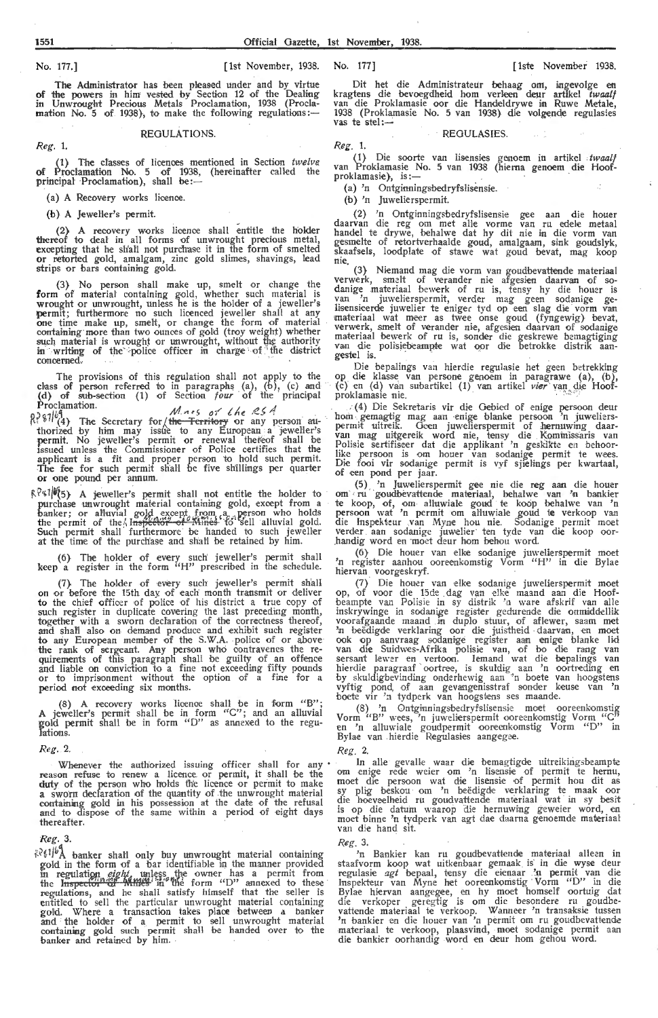*R,eg.* 1.

The Administrator has been pleased under and by virtue of the powers in him vested by Section 12 of the Dealing in Unwrought Precious Metals Proclamation, 1938 (Procla- ${\bf m}$ ation No. 5 of 1938), to make the following regulations: $-$ 

#### REGULATIONS.

(1) The classes of licences mentioned in Section *twelve*<br>of Proclamation No. 5 of 1938, (hereinafter called the<br>principal Proclamation), shall be:—

(a) A Recovery works licence.

(b) A Jeweller's permit.

(2) A recovery works licence shall entitle the holder thereof to deal in all forms of unwrought precious metal, exoepting that he sh'all not purchase it in the form of smelted **or** *retorted gold*, amalgam, zinc gold slimes, shavings, lead strips or bars containing gold.

(3) . No person shall make up, smelt or change the form of material containing gold, whether such material is wrought or unwrought, unless he is the holder of a jeweller's permit; furthermore no such licenced jeweller shall at any one time make up, smelt, or change the form of material containing more than two ounces of gold (troy weight) whether<br>such material is wrought or unwrought, without the authority<br>in writing of the police officer in charge of the district conoemed.

The provisions of this regulation shall not apply to the class of person referred to in paragraphs (a), (b), (c) and (d} of sub-section (1) of Section *four* of the · principal Prodamation. ,,, . \_,, *1* ,,, ,· 4

 $0.99164$ <br>  $0.97164$ <br>  $0.97164$ <br>  $0.97164$ <br>  $0.97164$ <br>  $0.97164$ <br>  $0.97164$ <br>  $0.97164$ <br>  $0.97164$ <br>  $0.97164$ <br>  $0.97164$ <br>  $0.97164$ <br>  $0.97164$ <br>  $0.97164$ <br>  $0.97164$ <br>  $0.97164$ <br>  $0.97164$ <br>  $0.97164$ <br>  $0.97164$ <br>  $0.97164$ <br> permit. No jeweller's permit or renewal thereof shall be issued unless the Commissioner of Police certifies that the applicant is a fit and proper person 'to hold such permit. The fee for such permit shall be five shillings per quarter **or** one pound per annum.

 $R^{2}$ \$1/ $\mathcal{O}(5)$  A jeweller's permit shall not entitle the holder to purchase unwrought material containing gold, except from a banker; or alluvial gold except, from ,a, , person who holds the permit of the Inspector of Mines to sell alluvial gold. Such permit shall furthermore be handed to such jeweller at the time of the purchase and shall be retained by him.

(6) The holder of every such jeweller's permit shall keep a register in the form "H" prescribed in the schedule.

(7) The holder of every such jeweller's permit shall on or before the 15th day of each month transmit or deliver to the chief officer of police of his district a true copy of such register in duplicate covering the last preceding month,<br>together with a sworn declaration of the correctness thereof, and shafi also on demand produce and exhibit such register to any European member of the S.W.A. police of or above<br>the rank of sergeant. Any person who contravenes the re-<br>quirements of this paragraph shall be guilty of an offence<br>and liable on conviction to a fine not exceeding f period not exceeding six months.

(8) A recovery works licence shall be in form " $B$ "; A jeweller's permit shall be in form  $C$ "; and an alluvial gold permit shall be in form " $D$ " as annexed to the regulations.

#### *Reg.* 2.

Whenever the authorized issuing officer shall for any reason refuse to renew a licence or permit, it shall be the duty of the person who holds the licence or permit to make a sworn declaration of the quantity of the unwrought material containing gold in his possession at the date of the refusal and to dispose of the same within a period of eight days thereafter.

#### *R.eg.* 3.

 $k^2\xi^{1/6}$  banker shall only buy unwrought material containing<br>gold in the form of a bar identifiable in the manner provided<br>in regulation *eight*, unless the owner has a permit from<br>the Inspector of Milles in the form regulations, and he shall satisfy himself that the seller is entitled to sell the particular unwrought material containing gold. Where a transaction takes place between a banker<br>and the holder of a permit to sell unwrought material containing gold such permit shall be handed over to the banker and retained by him. ·

Dit het die Administrateur behaag om, ingevolge en kragtens die bevoegdheid hom verleen deur artikel *twaalf* van die Proklamasie oor die Handeldrywe in Ruwe Metale, 1938 (Proklamasie No. 5 van 1938) die volgende regulasies vas te stel :--

**REGULASIES** 

*R.eg.* 1.

(1) Die soorte van lisensies genoem in artikel twaalf van Proklamasie No. 5 van 1938 (hierna genoem die Hoof-<br>proklamasie), is:—

(a) 'n Ontginningsbedryfslisensie.

(b) 'n Juwelierspermit.

(2) 'n Ontginningsbedryfslisensie gee aan die houer daarvan die reg om met alle vorme van ru edele metaal handel te drywe, behalwe dat hy dit nie in die vorm van<br>gesmelte of retortverhaalde goud, amalgaam, sink goudslyk, skaafsels, loodplate of stawe wat goud bevat, mag koop<br>nie. (3) Niemand mag die vorm van goudbevattende materiaal

V•erwe rk, smelt of verander ni•e afgesien daarvan of so- danige materiaal bewerk of ru is, tensy hy die hou~r is van 'n juwelierspermit, verder mag geen sodanige ge-<br>Iisensieerde juwelier te eniger tyd op een slag die vorm van materiaal wat meer as twee onse goud (fyngewig) bevat, verwerk, smelt of verander nie, afgesien daarvan of sodanige materiaal bewerk of ru is, sonder die geskrewe bemagtiging van die polisiebeampte wat oor die betrokke distrik aan- gestel is.

Die bepalings van hierdie regulasie het geen betrekking op die klasse van persone genoem in paragrawe (a), (b), (c) en (d) van subartikel (1) van artikel *vier* van die Hoof-proklamasie nie.

. (4) Die Sekretaris vir die Gebied of enige persoon deur hom gemagtig mag aan enige blanke persoon 'n juwelierspermit uitreik. Oeen juwelierspermit of hernuwing daar-<br>van mag uitgereik word nie, tensy die Kominissaris van<br>Polisie sertifiseer dat die applikant 'n geskikte en behoorlike persoon is •om houer van sodanige permit te wees. Die fooi vir sodanige permit is vyf sjieH-ngs per kwartaal, of een pond per jaar.

(5) 'n Juwelierspermit gee nie die reg aan die houer om ru goudbevattende materiaal, behalwe van 'n bankier te koop, of, om alluwiale goud te koop behalwe van 'n persoon wat 'n permit om alluwiale goud te verkoop van<br>die Inspekteur van Myne hou nie. Sodanige permit moet verder aan sodanige juwelier ten tyde van die koop oor-<br>handig word en moet deur hom behou word.

(6) Die houer van elke sodanige juwelierspermit moet<br>'n register aanhou ooreenkomstig Vorm "H" in die Bylae hiervan voorgeskryf.

(7) Die houer van elke sodanige juwelierspermit moet op, of voor die 15de dag van elke maand aan die Hoofbeampte van Polisie in sy distrik 'n ware afskrif van alle inskrywinge in sodanige register gedurende die onmiddellik voorafgaande maand in duplo stuur, of aflewer, saam met 'n beëdigde verklaring oor die juistheid daarvan, en moet<br>ook op aanvraag sodanige register aan enige blanke lid<br>van die Suidwes-Afrika polisie van, of bo die rang van<br>sersant lewer en vertoon. Iemand wat die bepalings van boete vir 'n tydperk van hoogstens ses maande.

(8) 'n Ontginningsbedryfslisensie moet ooreenkomstig Vorm "B" wees, 'n juwelierspermit ooreenkomstig Vorm "C" en 'n alluwiale goudpermit ooreenkomstig Vorm "D" in Bylae van hierdie Regulasies aangegee.

#### *Reg.* 2.

In alle gevalle waar die bemagtigde uitreikingsbeampte om enige rede weier om 'n lisensie of permit te hernu, moet die persoon wat die lisensie of permit hou dit as sy plig beskou om 'n beëdigde verklaring te maak oor<br>die hoeveelheid ru goudvattende materiaal wat in sy besit is op die datum waarop die hernuwing geweier word, en moet binne 'n tydperk van agt dae daarna genoemde materiaal van die hand sit.

*Reg.* 3.

'n Bankier kan ru goudbevattende materiaal alleen in staafvorm koop wat uitkenbaar gemaak is in die wyse deur regulasie *agt* bepaal, tensy die eienaar 'n permit van die<br>Inspekteur van Myne het ooreenkomstig Vorm "D" in die<br>Bylae hiervan aangegee, en hy moet homself oortuig dat die verkoper geregtig is om die besondere ru goudbe-<br>vattende materiaal te verkoop. Wanneer 'n transaksie tussen 'n bankier en die houer van 'n permit om ru goudbevattende materiaal te verkoop, plaasvind, moet sodanige permit aan die bankier oorhandig word en deur hom gehou word.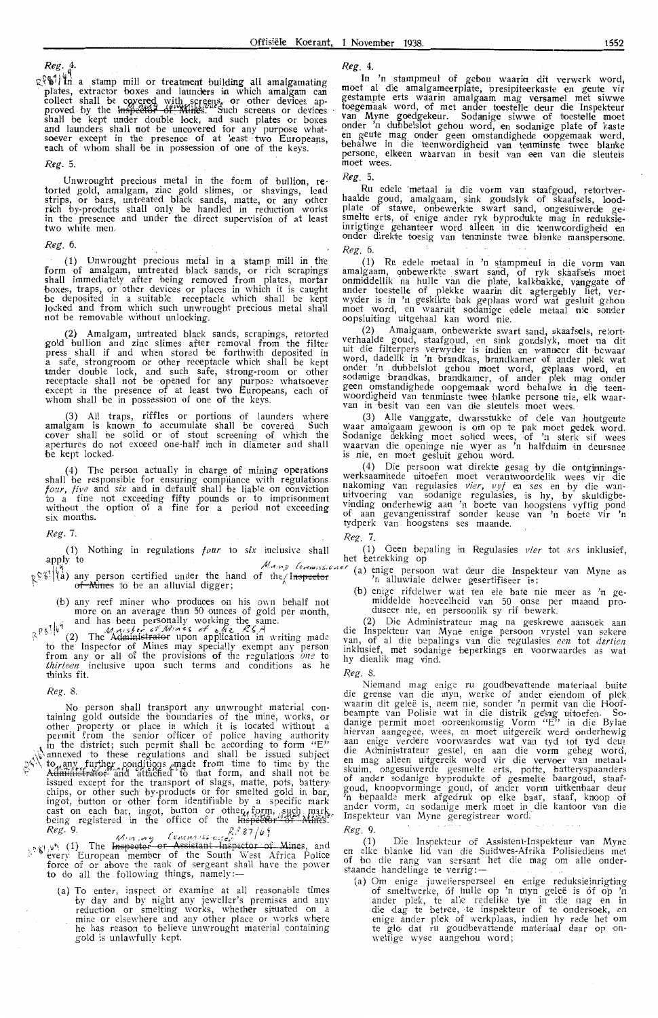*Reg.* 4.

 $\mathbb{R}^{\{|\mathbf{t}|\}}$  in a stamp mill or treatment building all amalgamating plates, extractor boxes and launders in which amalgam can collect shall be covered with screens, or other devices approved by the <del>Inspector of "Mines</del>." "Such screens or devices<br>shall be kept under double lock, and such plates or boxes and launders shall not be uncovered for any purpose what-<br>soever except in the presence of at least two Europeans, each of whom shall be in possession of one of the keys.

*Reg.* 5.

Unwrought precious metal in the form of bullion, retorted gold, amalgam, zinc gold slimes, or shavings, lead strips, or bars, untreated black sands, matte, or any other rich by-products shall only be handled in reduction works in the presence and under the direct supervision of at least two white men.

*Reg.* 6.

(1) Unwrought precious metal in a stamp mill in the form of amalgam, untreated black sands, or rich scrapings shall immediately after being removed from plates, mortar boxes, traps, or other devices or places in which it is caught be deposited in a suitable receptacle which shall be kept locked and from which such unwrought precious metal shall not be removable without unlocking.

(2) Amalgam, untreated black sands, scrapings, retorted gold bullion and zinc slimes after removal from the filter press shall if and when stored be forthwith deposited in<br>a safe, strongroom or other receptacle which shall be kept under double lock, and such safe, strong-room or other receptacle shall not be opened for any purpose whatsoever except in the presence of at least two Europeans, each of whom shall be in possession of one of the keys.

(3) All traps, riffles or portions of launders where amalgam is known to accumulate shall be covered. Such cover shall be solid or of stout screening of which the apertures do not exceed one-half inch in diameter and shall be kept locked.

 $(4)$  The person actually in charge of mining operations shall be responsible for ensuring compliance with regulations *four, five* and *six* and in default shall be liable on conviction ±o a fine not exceeding fifty pounds or to imprisonment without the option of a fine for a period not exceeding six months.

*Reg.* 7.

(1) Nothing in regulations *four* to *six* inclusive shall apply to

- Records Completed to the hand of the last the properties of the property of the property of the property of the contribution of the property of the property of the property of the property of the property of the property o
- (b) any reef miner who produces on his own behalf not more on an average than 50 ounces of gold per month, , I· '1 and has been per~onally working the \_s~me. *<sup>~</sup> 0\ \* ~ .4,1 .. *v1 ,,; I,,,...* ,; 1' //IJ.,.,,,q: *,,-{' ~t-,e.* /? r, . .4

 $\mathbb{R}^{n \times n+1}$  (2) The Administrator upon application in writing made to the Inspector of Mines may specially exempt any person from any or all of the provisions of the regulations *one* to *thirteen* inclusive upon such terms and conditions as he thinks fit.

*Reg.* 8.

No person shall transport any unwrought material containing gold outside the boundaries of the mine, works, or other property or place in which it is located without a permit from the senior officer of police having author in the district; such permit shall be according to form "E"  $\sqrt{\sqrt{x}}$  annexed to these regulations and shall be issued subject J\\ to. any further conditions made from time to time by the Administrator and altached to that form, and shall not be issued exoe pt for the transport of slags, matte, pots, battery· chips, or other such by-products or for smelted gold in **bar,**  ingot, button or other form identifiable by a specific mark cast on each bar, ingot, button or other, form, such mark.<br>being registered in the office of the lnspector of Mines.

Reg. 9.<br>  $Reg.$  9.<br>  $M(n, m)$  (ensinaiss or  $R_2^2$  87/b)<br>  $g^2$  87/b)<br>
every European member of the South West Africa Police<br>
force of or above the rank of sergeant shall have the power to do all the following things, namely:-

(a) To enter, inspect or examine at all reasonable times by day and by night any jeweller's premises and any reduction or smelting works, whether situated on a mine or elsewhere and any other place or works where he has reason to believe unwrought material containing gold is unlawfully kept.

*Reg.* 4.

In 'n stampmeul of gebou waarin dit verwerk word,<br>moet al die amalgameerplate, presipiteerkaste en geute vir gestampte erts waarin amalgaam mag versamel met siwwe<br>toegemaak word, of met ander toestelle deur die Inspekteur<br>van Myne goedgekeur. Sodanige siwwe of toestelle moet onder 'n dubbelslot gehou word, en sodanige plate of kaste<br>en geute mag onder geen omstandighede oopgemaak word, behalwe in die teenwordigheid van tenminste twee blanke persone, elkeen waarvan in besit van een van die sleutels<br>moet wees.

*Reg.* 5.

Ru edele metaal in die vorm van staafgoud, retortverhaaldc goud, amalgaam, sink goudslyk of skaafsels, loodplate of stawe, onbewerkte swart sand, ongesuiwerde gesmelte erts, of enige ander ryk byprodukte mag in reduksieinrigtinge gehanteer word alleen in die teenwoordigheid en<br>onder direkte toesig van tenminste twee blanke manspersone. *Reg.* 6.

(1) Ru edele metaal in 'n stampmeul in die vorm van<br>amalgaam, onbewerkte swart sand, of ryk skaafsels moet<br>onmiddellik na hulle van die plate, kalkbakke, vanggate of ander toestelle of plekke waarin dit agtergebly het, verwyder is in 'n geskikte bak geplaas word wat gesluit gehou moet word, en waaruit sodanige edele metaal nie sonder<br>oopsluiting uitgehaal kan word nie.

(2) Amalgaam, onbewerkte swart sand, skaafsels, retortverhaalde goud, staafgoud, en sink goudslyk, moet na dit uit die filterpers verwyder is indien en wanneer dit bewaar<br>word, dadelik in 'n brandkas, brandkamer of ander plek wat onder 'n dubbelslot gehou moet word, geplaas word, en<br>sodanige brandkas, brandkamer, of ander p!ek mag onder geen omstandighede oopgemaak word behalwe in die teen-<br>woordigheid van tenminste twee blanke persone nie, elk waar-<br>van in besit van een van die sleutels moet wees.

(3) Alle vanggate, dwarsstukke of dele van houtgeute<br>waar amalgaam gewoon is om op te pak moet gedek word.<br>Sodanige dekking moet solied wees, of 'n sterk sif wees<br>waarvan die openinge nie wyer as 'n halfduim in deursnee is nie, en moet gesluit gehou word.

(4) Die persoon wat direkte gesag by die ontginningswerksaamhede uitoefen moet verantwoordelik wees vir die nakoming van regulasies *vier, vyf* en *ses* en by die wan-<br>uitvoering van sodanige regulasies, is hy, by skuldigbevinding onderhewig aan 'n boete van hoogstens vyftig pond of aan gevangenisstraf sonder keuse van 'n boete vir 'n tydperk van hoogstens ses maande.

*Reg.* i.

(1) Geen bepaling in Regulasies *vier* tot *ses* inklusief, het betrekking op

- 
- middelde ho eveelheid van 50 onse per maand produseer nie, en persoonlik sy rif bewerk.

(2) Die Administrateur mag na geskrewe aansoek aan die lnspekteur van Myne enige persoon vryste l -van s•t kere van, of al die bepalings van die regulasies een tot dertien inklusief, met sodanige beperkings en voorwaardes as wat hy dienlik mag vind.

*Reg.* 8.

Niemand mag enige ru goudbevattende materiaa! buite die grense van die myn, werke of ander eiendom of plek waarin dit geleë is, neem nie, sonder 'n permit van die Hoofbeampte van Polisie wat in die distrik gesag uitoefen. So-<br>danige permit moet ooreenkomstig Vorm ''E'' in die Bylae<br>hiervan aangegee, wees, en moet uitgereik word onderhewig<br>aan enige verdere voorwaardes wat van tyd tot ty die Administrateur gestel, en aan die vorm geheg word, en mag alleen uitgereik word vir die verv•oe·r van metaal• skuim, ongesuiwerde gesmelte erts, potte, batteryspaanders<br>of ander sodanige byprodukte of gesmelte baargoud, staafgoud, knoopvorminge goud, of ander vorm uitkenbaar deur<br>'n bepaalde merk afgedruk op elke baar, staaf, knoop of ander vorm, en sodanige merk moet in die kantoor van die Inspekteur van Myne geregistreer word.

*Reg.* 9.

(1) Die Inspekteur of Assistent-Inspekteur van Myne en elke blanke lid van die Suidwes-Afrika Polisiediens met of bo die rang van sersant het die mag om alle onder-<br>staande handelinge te verrig:—

(a) Om enige juweliersperseel en enige reduksieinrigting of smeltwerke, of hulle op 'n myn geleë is of op 'n ander plek, te alle redelike tye in die nag en in die dag te betree, te inspekteur of te ondersoek, en enige ander plek of werkplaas, indien hy rede het om te glo dat ru goudbevattende materiaal daar op onwettige wyse aangehou word;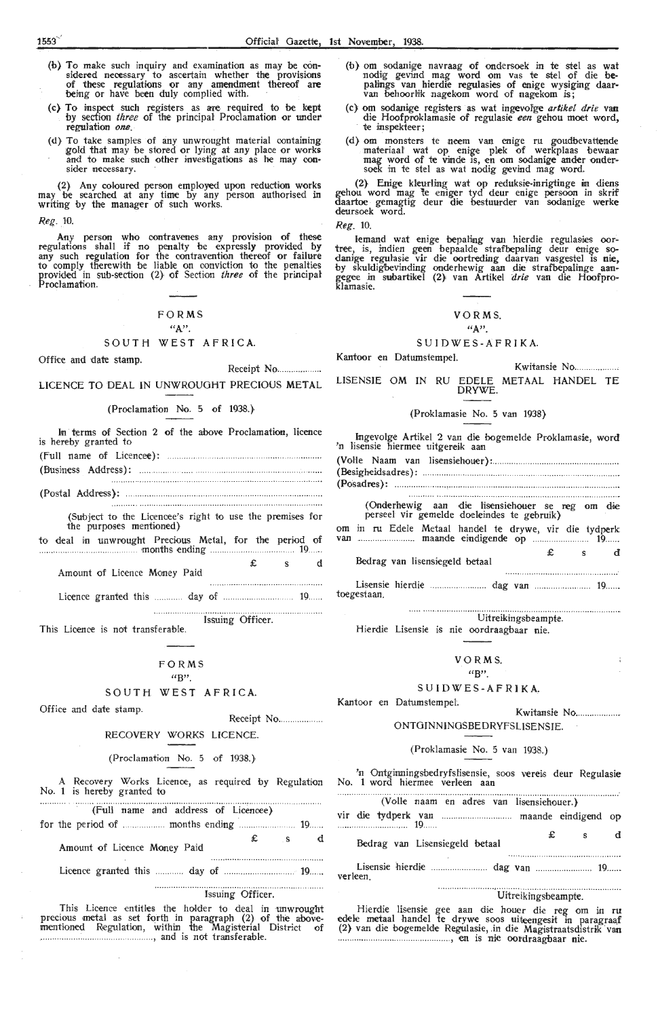- (b) To mak,e such inquiry and examination as may be considered necessary to asoertain whether the provisions of these regulations or any amendment thereof **are**  being or have been duly complied with.
- (c) To inspect such registers as are r•equired to be **kept**  by section *three* of the principal Proclamation or under regulation *one.*
- (d) To take samples of any unwrought material containing gold that may be stored or lying at any place or works and to make such other investigations as he may consider necessary.

(2) Any coloured person employed upon reduction works may be searched at any time by any person authorised in writing by the manager of such works.

*Reg.* 10.

Any person who contravenes any provision of these regulations shall if no penalty be expressly provided by any such regulation for the contravention thereof or failure to comply therewith be liable on oonviction to the penalties provided in sub-section (2} of Section *three* of the principal provided in special provided in the proclamation.

#### FORMS "A".

#### SOUTH WEST AFRICA.

Office and date stamp.

Receipt No ................ . LICENCE TO DEAL IN UNWROUGHT PRECIOUS **METAL** 

#### (Proclamation No. 5 of 1938.}

| In terms of Section 2 of the above Proclamation, licence<br>is hereby granted to |
|----------------------------------------------------------------------------------|
|                                                                                  |
|                                                                                  |
|                                                                                  |

(Subject to the Licencee's right to use the premises for the purposes mentioned}

to deal in unwrought Precious Metal, for the period of .......... ...... .. . months ending ......... 19

£ s d Amount of Licence Money Paid

Licence granted this day of 19.. . . toegestaan. .. .. ....... dag van

**Issuing Officer.** This Licence is not transferable.

#### FORMS

#### $(4R)$ SOUTH WEST AFRICA.

Office and date stamp. Receipt No . ..... ... .. ... ..

## RECOVERY WORKS LICENCE.

### (Proclamation No. 5 of 1938.}

A Recovery Works Licence, as required by Regulation No. **1** is hereby granted to 

| (Full name and address of Licencee) |                  |                        |  |
|-------------------------------------|------------------|------------------------|--|
|                                     |                  |                        |  |
| Amount of Licence Money Paid        |                  | $\mathbf{\pounds}$ s d |  |
|                                     |                  |                        |  |
|                                     | Issuing Officer. |                        |  |

This Licence entitles the holder to deal in unwrought precious metal as set forth in paragraph (2) of the abovementioned ~egulation, within the Magist,erial District of ................. .. ... .. .. , and is not transferable.

- (b) om sodanige navraag of ondersoek in te stel as wat nodig gevind mag word om vas te stel of die bepalings van hierdie regulasies of enige wysiging daar-<br>van behoorlik nagekom word of nagekom is;
- (c} om sodanige registers as wat ingevol'ge *artikel drie* **van**  die Hoofproklamasie of regulasie *een* gehou moet word, te inspekteer;
- (d} om monsters te neem van enige ru goudbevattende materiaal wat op enige plek of werkplaas bewaar mag word of te vinde is, en om sodanige ander ondersoek in te stel as wat nodig gevind mag word.

(2) Enige kleurling wat op reduksie-inrigtinge in diens gehou word mag te eniger tyd deur enige persoon in skrif daartoe gemagtig deur die bestuurder van sodanige werke deursoek word.

*R.eg.* 10.

Kantoor en DatumstempeL

lemand wat enige bepaling van hierdie regulasies oortree, is, indien geen bepaalde strafbepaling deur enige so-<br>danige regulasie vir die oortreding daarvan vasgestel is nie, by skuldiglbevi:nding onderbewig aan die strafbepalinge aan- gegee in subartikel (2} van Artikel *drie* van die Hoofproklamasie.

#### VO RMS.

#### "A". S U I D W ES - A F R I K A.

Kwitansie No .................... LISENSIE OM IN RU EDELE METAAL HANDEL TE DRYWE.

(Proklamasie No. 5 van 1938)

| Ingevolge Artikel 2 van die bogemelde Proklamasie, word<br>'n lisensie hiermee uitgereik aan  |        |  |
|-----------------------------------------------------------------------------------------------|--------|--|
|                                                                                               |        |  |
|                                                                                               |        |  |
| (Onderhewig aan die lisensiehouer se reg om die<br>perseel vir gemelde doeleindes te gebruik) |        |  |
| om in ru Edele Metaal handel te drywe, vir die tydperk<br>van  maande eindigende op  19       |        |  |
| Bedrag van lisensiegeld betaal                                                                | £ s di |  |
| toegestaan.                                                                                   |        |  |

... •.. ••.. ... .. •. . ... . .. . .. Uitreikingsbeampt-e. Hierdie Lisensie is nie oordraagbaar nie.

|  | VORMS. |  |
|--|--------|--|
|  |        |  |

#### $(4R)$

#### SUIDWES-AFRIKA..

Kantoor en DatumstempeL

#### Kwitansie No.................. ONTOINNINOS8EDRYFSLISENSIE.

#### (Proklamasie No. 5 van 1938.)

'n Ontginningsbedryfslisensie, soos vereis deur Regulasie No. 1 word hiermee verleen aan

|          |                                |  |  | (Volle naam en adres van lisensiehouer.) |                |  |
|----------|--------------------------------|--|--|------------------------------------------|----------------|--|
|          |                                |  |  |                                          |                |  |
|          | Bedrag van Lisensiegeld betaal |  |  |                                          | $\mathbf{E}$ s |  |
| verleen. |                                |  |  |                                          |                |  |

# Uitrelkingsbeampte.

÷.

Hierdie lisensie gee aan die houer die reg om in ru edele metaal handel te drywe soos uiteengesit in paragraaf (2} van die bogemelde Regulasie, .in die Magistraatsd1strik van .. ..... .. ....... ............................... , en is nie oor·draagbaar nie.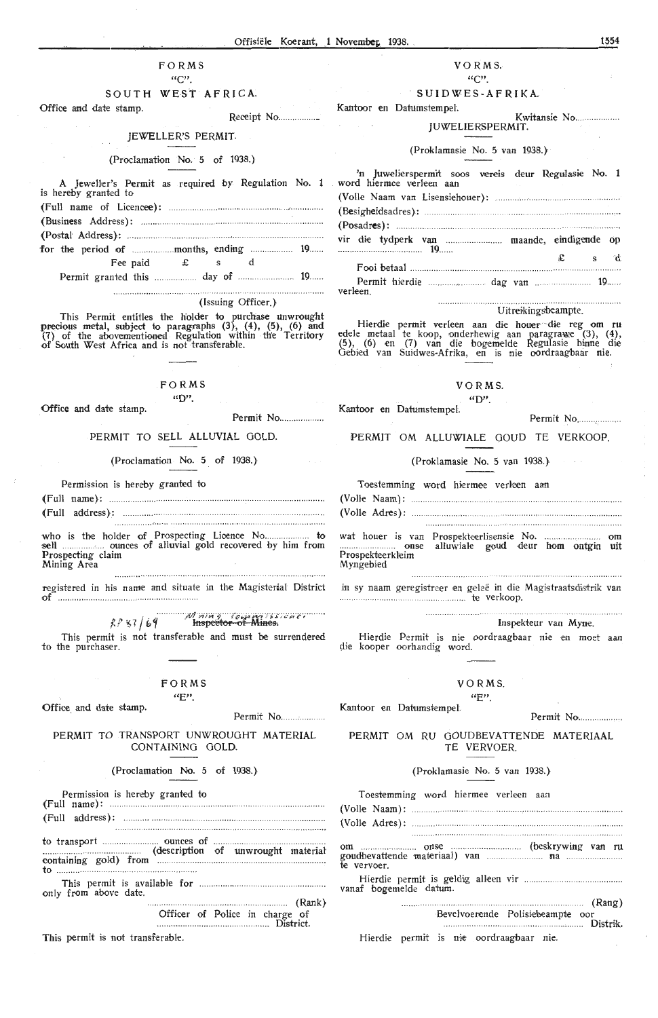#### $FORMS$  $\alpha_{\rm C}$

#### SOUTH WEST AFRICA.

Office and date stamp. Receipt No.................

#### **IEWELLER'S PERMIT.**

#### (Proclamation No. 5 of 1938.)

Jeweller's Permit as required by Regulation No. 1 is hereby granted to 

Fee paid £ s d 

#### (Issuing Officer.)

This Permit entitles the holder to purchase unwrought<br>precious metal, subject to paragraphs  $(3)$ ,  $(4)$ ,  $(5)$ ,  $(6)$  and<br> $(7)$  of the abovementioned Regulation within the Territory<br>of South West Africa and is not transf

## FORMS

 $\omega_{\mathbf{D}'}$ Office and date stamp

Permit No..................

## PERMIT TO SELL ALLUVIAL GOLD.

(Proclamation No. 5 of 1938.)

Permission is hereby granted to

Mining Area

registered in his name and situate in the Magisterial District 

 $kP$ 87/69 Hispector of Mines. This permit is not transferable and must be surrendered

to the purchaser.

#### $FORMS$  $\alpha_{E}$ "

#### Office and date stamp

Permit No...................

#### PERMIT TO TRANSPORT UNWROUGHT MATERIAL CONTAINING GOLD

#### (Proclamation No. 5 of 1938.)

Permission is hereby granted to ... ounces of to transport .................... (description of unwrought material) to. only from above date. Officer of Police in charge of

District

This permit is not transferable

#### VORMS.  $\mu$ <sup>1</sup>

#### SHIDWES-AFRIKA

Kantoor en Datumstempel

#### Kwitansie No. **HWELIERSPERMIT**

#### (Proklamasie No. 5 van 1938.)

| 'n Juwelierspermit soos vereis deur Regulasie No. 1<br>word hiermee verleen aan |  |         |  |
|---------------------------------------------------------------------------------|--|---------|--|
|                                                                                 |  |         |  |
|                                                                                 |  |         |  |
|                                                                                 |  |         |  |
| vir die tydperk van  maande, eindigende op                                      |  |         |  |
|                                                                                 |  | $f$ s d |  |
|                                                                                 |  |         |  |
| <b>verleen</b>                                                                  |  |         |  |

#### Uitreikingsheampte

Hierdie permit verleen aan die houwer die reg om ru<br>edele metaal te koop, onderhewig aan paragrawe (3), (4),<br>(5), (6) en (7) van die bogemelde Regulasie binne die<br>Gebied van Suidwes-Afrika, en is nie oordraagbaar nie.

#### $V \cap D M S$  $\omega$

Kantoor en Datumstempel

 $Darmit$   $No$ 

#### PERMIT OM ALLUWIALE GOUD TE VERKOOP

(Proklamasie No. 5 van 1938).

Toestemming word hiermee verloop aan

Prospekteerkleim Myngebied

in sy naam geregistreer en geleë in die Magistraatsdistrik van te verkoop. 

#### Inspekteur van Myne

Hierdie Permit is nie oordraagbaar nie en moet aan

#### $V \cap P M S$  $GFT$

Kantoor en Datumstempel

 $\mathsf{Dermit}$   $\mathsf{No}$ 

PERMIT OM RU GOUDBEVATTENDE MATERIAAL TE VERVOER

#### (Proklamasie No. 5 van 1938.)

|             |                        | Toestemming word hiermee verleen aan |                                  |  |
|-------------|------------------------|--------------------------------------|----------------------------------|--|
|             |                        |                                      |                                  |  |
|             |                        |                                      |                                  |  |
| te vervoer. |                        |                                      |                                  |  |
|             | vanaf bogemelde datum. |                                      |                                  |  |
|             |                        |                                      | Bevelvoerende Polisiebeampte oor |  |

1554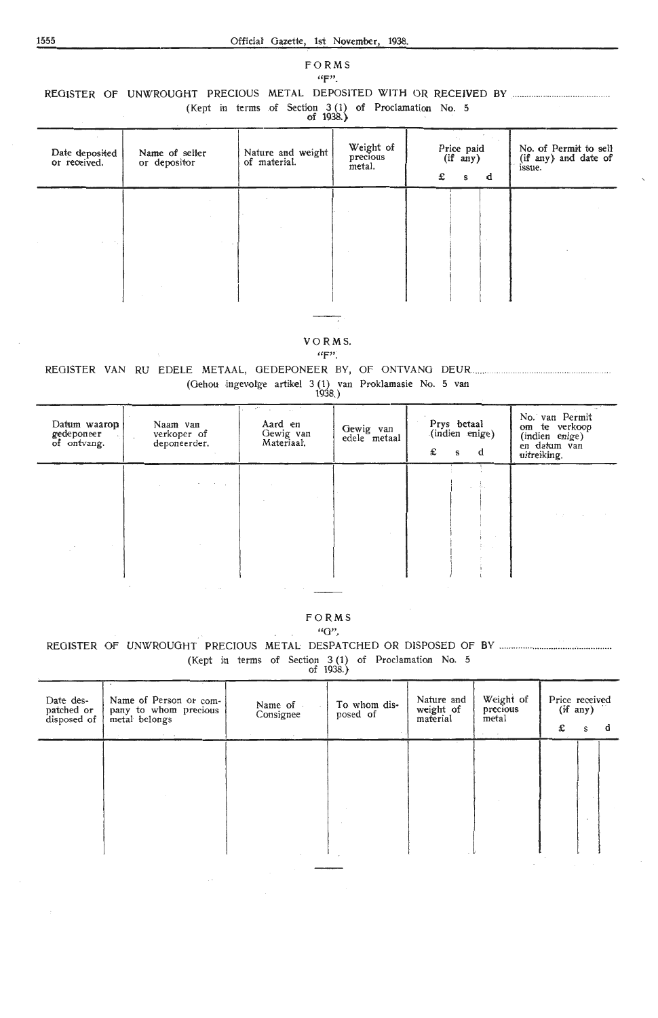#### FORMS  $4 F$ .

## REGISTER OF UNWROUGHT PRECIOUS METAL DEPOSITED WITH OR RECEIVED BY MALL MARKET METAL

(Kept in terms of Section 3(1) of Proclamation No. 5<br>of 1938.)

| н | 1938.) |  |
|---|--------|--|
|   |        |  |

| Date deposited<br>or received. | Name of seller<br>or depositor | Nature and weight<br>of material. | Weight of<br>precious<br>metal. | Price paid<br>(if any)<br>£<br>d<br>s | No. of Permit to sell<br>(if any) and date of<br>issue. |
|--------------------------------|--------------------------------|-----------------------------------|---------------------------------|---------------------------------------|---------------------------------------------------------|
|                                |                                |                                   |                                 |                                       |                                                         |
|                                |                                |                                   |                                 |                                       |                                                         |

#### VORMS.

#### $``F"$ .

## (Gehou ingevolge artikel 3(1) van Proklamasie No. 5 van

| Datum waarop<br>gedeponeer<br>of ontvang. | Naam van<br>verkoper of<br>deponeerder. | Aard en<br>Gewig van<br>Materiaal. | Gewig van<br>edele metaal | Prys betaal<br>(indien enige)<br>£<br>d<br>s | No. van Permit<br>om te verkoop<br>(indien enige)<br>en datum van<br>uitreiking. |
|-------------------------------------------|-----------------------------------------|------------------------------------|---------------------------|----------------------------------------------|----------------------------------------------------------------------------------|
|                                           | the control of                          |                                    |                           |                                              | The process of                                                                   |
|                                           |                                         |                                    |                           |                                              |                                                                                  |

## FORMS

## $"G"$ (Kept in terms of Section 3(1) of Proclamation No. 5<br>of 1938.)

| Date des-<br>patched or<br>disposed of | Name of Person or com-<br>pany to whom precious<br>metal belongs | Name of<br>Consignee | To whom dis-<br>posed of | Nature and<br>weight of<br>material | Weight of<br>precious<br>metal | Price received<br>(if any)<br>£ | s | a |
|----------------------------------------|------------------------------------------------------------------|----------------------|--------------------------|-------------------------------------|--------------------------------|---------------------------------|---|---|
|                                        |                                                                  |                      |                          |                                     |                                |                                 |   |   |
|                                        |                                                                  |                      |                          |                                     |                                |                                 |   |   |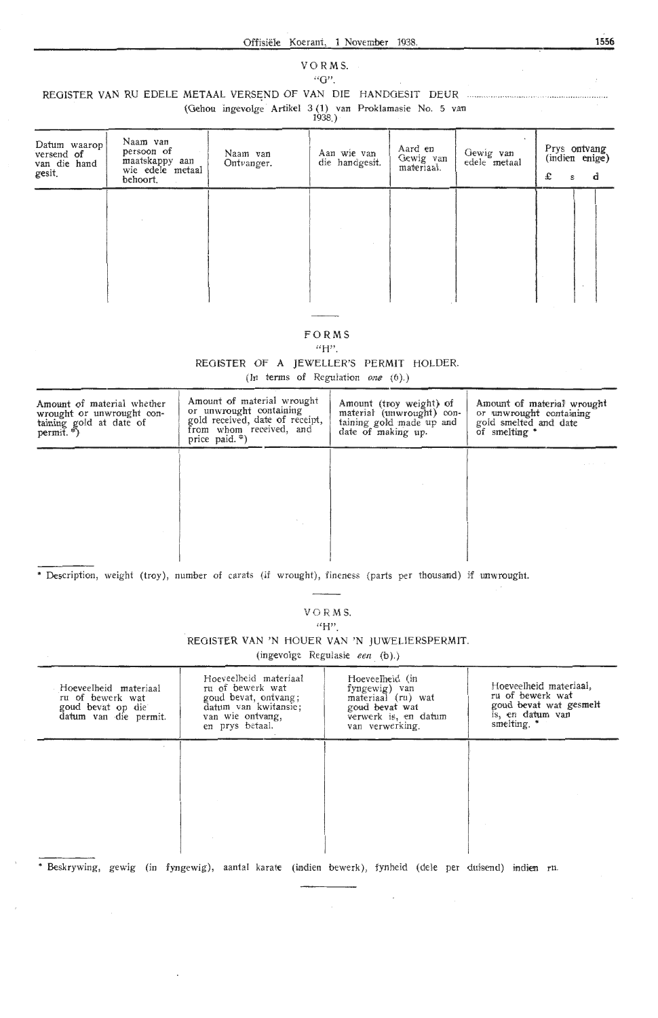## VO RMS.

## ${}^{i}G$ ".

REGISTER VAN RU EDELE **METAAL** VERSC:ND OF VAN DIE HANDGESIT DEUR ....... ......... ......... . . ..... ........... ...... .

(Gehou ingevolge Artikel 3 (1) van Proklamasie No. 5 van

|--|--|

| Datum waarop<br>versend of<br>van die hand<br>gesit. | Naam van<br>persoon of<br>maatskappy aan<br>wie edele metaal<br>behoort. | Naam van<br>Ontvanger. | Aan wie van<br>die handgesit. | Aard en<br>Gewig van<br>materiaal. | Gewig van<br>edele metaal | Prys ontvang<br>(indien enige)<br>£ | s | ď |
|------------------------------------------------------|--------------------------------------------------------------------------|------------------------|-------------------------------|------------------------------------|---------------------------|-------------------------------------|---|---|
|                                                      |                                                                          |                        |                               |                                    |                           |                                     |   |   |
|                                                      |                                                                          |                        |                               |                                    |                           |                                     |   |   |

### FORMS

 $\rm{``H''}.$ 

REGISTER OF A JEWELLER'S PERMIT HOLDER.

(In terms of Regulation one (6).)

| Amount of material whether<br>wrought or unwrought con-<br>taining gold at date of<br>permit. *) | Amount of material wrought<br>or unwrought containing<br>gold received, date of receipt,<br>from whom received, and<br>price paid. $*)$ | Amount (troy weight) of<br>material (unwrought) con-<br>taining gold made up and<br>date of making up. | Amount of material wrought<br>or unwrought containing<br>gold smelted and date<br>of smelting * |
|--------------------------------------------------------------------------------------------------|-----------------------------------------------------------------------------------------------------------------------------------------|--------------------------------------------------------------------------------------------------------|-------------------------------------------------------------------------------------------------|
|                                                                                                  |                                                                                                                                         |                                                                                                        |                                                                                                 |
|                                                                                                  |                                                                                                                                         |                                                                                                        |                                                                                                 |
|                                                                                                  |                                                                                                                                         |                                                                                                        |                                                                                                 |
|                                                                                                  |                                                                                                                                         |                                                                                                        |                                                                                                 |

\* Description, weight (troy), number of carats (if wrought), fineness (parts per thousand) if unwrought.

 $\frac{1}{2}$  and  $\frac{1}{2}$ VO RMS.

**"H".** 

REGISTER **VAN 'N** HOUER **VAN 'N** JUWEUERSPERMIT.

(ingevolge Regulasie een (b).)

| Hoeveelheid materiaal<br>ru of bewerk wat<br>goud bevat op die<br>datum van die permit. | Hoeveelheid materiaal<br>ru of bewerk wat<br>goud bevat, ontvang;<br>datum van kwitansie;<br>van wie ontvang,<br>en prys betaal. | Hoeveelheid (in<br>fyngewig) van<br>materiaal (ru) wat<br>goud bevat wat<br>verwerk is, en datum<br>van verwerking. | Hoeveelheid materiaal,<br>ru of bewerk wat<br>goud bevat wat gesmelt<br>is, en datum van<br>smelting. * |
|-----------------------------------------------------------------------------------------|----------------------------------------------------------------------------------------------------------------------------------|---------------------------------------------------------------------------------------------------------------------|---------------------------------------------------------------------------------------------------------|
|                                                                                         |                                                                                                                                  |                                                                                                                     |                                                                                                         |
|                                                                                         |                                                                                                                                  |                                                                                                                     |                                                                                                         |
|                                                                                         |                                                                                                                                  |                                                                                                                     |                                                                                                         |
|                                                                                         |                                                                                                                                  |                                                                                                                     |                                                                                                         |
|                                                                                         |                                                                                                                                  |                                                                                                                     |                                                                                                         |

 $\cdot$ 

\* Beskrywing, gewig (in fyngewig), aantal karate (indien bewerk), fynheid (dele per duisend) indien ru.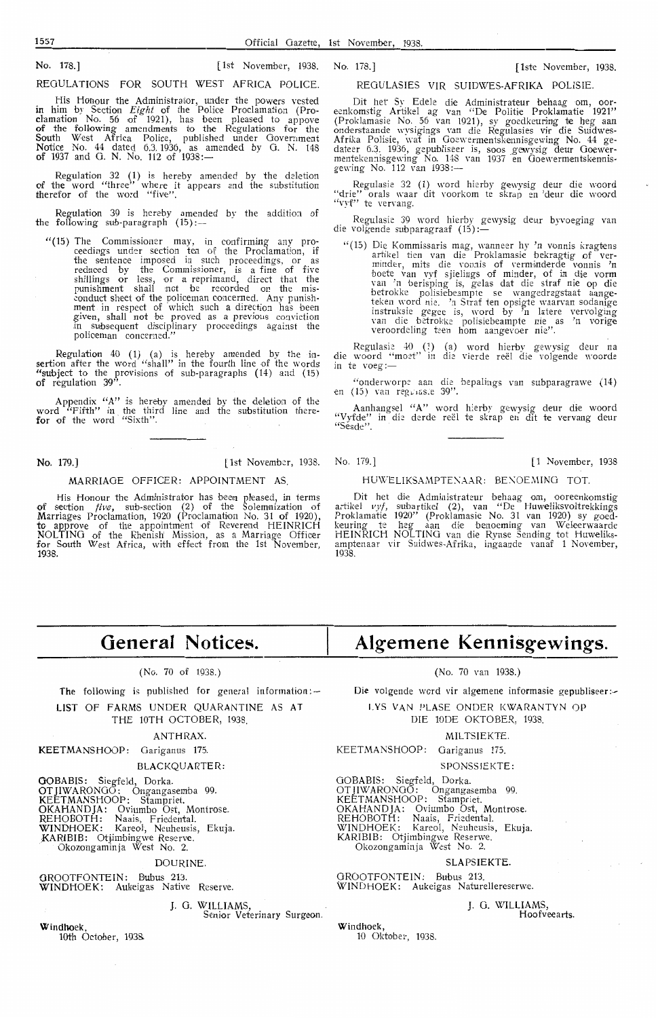No. 178.] [1st November, 1938. No. 178.] [ lste November, 1938.

REGULATIONS FOR SOUTH WEST AFRICA POLICE.

His Honour the Administrator, under the powers vested in him by Section *Eight* of the Police Proclamation (Proclamation No. 56 of 1921), has been pleased to appove of the following amendments to the Regulations for the South West Africa Police, published under Government Notioe No. 44 dated 6.3.1936, as amended by 0. N. 148 of 1937 and G. N. No. 112 of  $1938:-$ 

Regulation 32 (1) is hereby amended by the deletion of the word "three" where it appears and the substitution therefor of the word "five".

Regulation 39 is hereby amended by the addition of<br>the following sub-paragraph (15):--

" (15) The Commissioner may, in confirming any proceedings under section ten of the Proclamation, if the sentence imposed in such proceedings, or as reduced by the Commissioner, is a fine of five shillings or less, or a reprimand, direct that the punishment shall not be recorded on the misconduct sheet of the policeman concerned. Any punish-<br>**ment** in respect of which such a direction has been given, shall not be proved as a previous conviction in subsequent disciplinary proceedings against the policeman concerned."

Regulation  $40$  (1) (a) is hereby amended by the insertion after the word "shall" in the fourth line of the words "subject to the provisions of sub-paragraphs (14) and (15) of regulation 39".

Appendix **"A"** is hereby amended by the deletion of the word "Fifth" in the third line and the substitution therefor of the word "Sixth".

#### MARRIAGE OFFICER: APPOINTMENT AS

His Honour the Administrator has been pleased, in terms of section *five*, sub-section  $(2)$  of the Solemnization of Marriages Proclamation, 1920 (Proclamation No. 31 of 1920), to approve of the appointment of Reverend HEINRICH NOL TINO of the Rhenish' Mission, as a Marriage Officer for South West Africa, with effect from the 1st November, 1938.

REOULAS!ES VIR SUIDWES-AFRIKA POLISIE.

Dit het Sy Edele die Administrateur behaag om, oor-<br>eenkomstig Artikel ag van "De Politie Proklamatie 1921" (Proklamasie No. 56 van 1921), sy goedkeuring **te** heg aan onderstaande wysigings Yan die Regulasies vir die Suidwes-Afrika Polisie, wat in Ooewermentsk•ennisgewing No. 44 gedateer 6.3. 1936, gepubliseer is, soos \_gewysig deur Ooewermentekennisgewing No. 148 van 1937 en Goewermentskennis-<br>gewing No. 112 van 1938:—

Regulasie 32 (1) word hierby gewysig deur die woord "drie" orals waar dit voorkom te skrap en 'deur die woord "drie" orals waar

Regulasie 39 word hierby gewysig deur byvoeging van die volgende subparagraaf (15):-

" (15) Die Kommissaris mag, wanneer hy 'n vonnis kragtens artikel tien van die Proklamasie bekragtig of ver-<br>minder, mits die vonnis of verminderde vonnis 'n boete van vyf sjielings of minder, of in die vorm<br>van 'n berisping is, gelas dat die straf nie op die betrokke polisiebeampte se wangedragstaat aangeteken word nie. 'r1 Straf ten opsigte waarvan sodanige instruksie gegee is, word by 'n latere vervolging<br>van die betrokke polisiebeampte nie as 'n vorige veroordeling teen hom aangevoer nie''.

Regulasie 40 (1) (a) word hierby gewysig deur na die woord "moet" in die vierde reël die volgende woorde in te voeg :-

''onderworpe aan die bepalings van subparagrawe (14) en (15) van reg $\mathcal{L}$ iss.e 39".

Aanhangsel "A" word h:erby gewysig deur die woord "Vyfde" in die derde reël te skrap en dit te vervang deur<br>"Sesde".

**No. 179.]** [1st November, 1938. No. 179.] [1 November, 1938] [1 November, 1938]

#### HUWELIKSAMPTENAAR: BENOEMING TOT.

Dit het die Administrateur behaag om, ooreenkomstig<br>artikel vyf, subartikel (2), van "De Huweliksvoltrekkings Proklamatie 1920'' (Proklamasie No. 31 van 1920) sy goedkeuring te heg aan die benoeming van Weleerwaarde HEINRICH NOLTING van die Rynse Sending tot Huweliksamptenaar vir Suidwes-Afrika, ingaande vanaf 1 November, 1938.

## **General Notices.**

#### (No. 70 of 1938.)

The following is published for general information: $-$ 

LIST OF FARMS UNDER QUARANTINE AS AT THE 10TH OCTOBER, 1938.

#### ANTHRAX.

KEETMANSHOOP: Oariganus 175.

#### BLACKQUARTER:

**GOBABIS:** Siegfeld, Dorka.

OT JIWARONOO: Ongangasemba 99. KEETMANSHOOP: Stampriet. OKAHANDJA: Oviumbo Ost, Montrose.

REHOBOTH: Naais, Friedental. WINDHOEK: Kareol, Neuheusis, Ekuja.

\_)<ARIBIB: OtjJmbingwe Rese rve. Okozongaminja West No. 2.

#### DOURINE.

GROOTFONTEIN: Bubus 213. WINDHOEK: Aukeigas Native Reserve.

#### J. 0. WILLIAMS,

Senior Veterinary Surgeon.

**Windhoek,**  loth October, 193&

## **Algemene Kennisgewings.**

(No. 70 van 1938.)

Die volgende word vir algemene informasie gepubliseer:-

1. YS VAN PLASE ONDER KWARANTYN OP DIE 10DE OKTOBER, 1938.

## MILTSIEKTE.

KEETMANSHOOP: Oariganus 175.

SPONSSIEKTE:

OOBABIS: Siegfeld, Dorka. OTJIWARONOO: Ongangasemba 99. KEETMANSHOOP: Stampriet. OKAHANDJA: Oviumbo Ost, Montrose. REHOBOTH: Naais, Friedental. WINDHOEK: Kareol, Neuheusis, Ekuja. KARIBIB: Otjimbingwe Reserwe. Okozongaminja West No. 2.

#### SLAPSIEKTE.

OROOTFONTEIN: Bubus 213. WINDHOEK: Aukeigas Naturellereserwe.

> J. 0. WILLIAMS, Hoofveearts.

Windhoek, 10 Oktober, 1938.